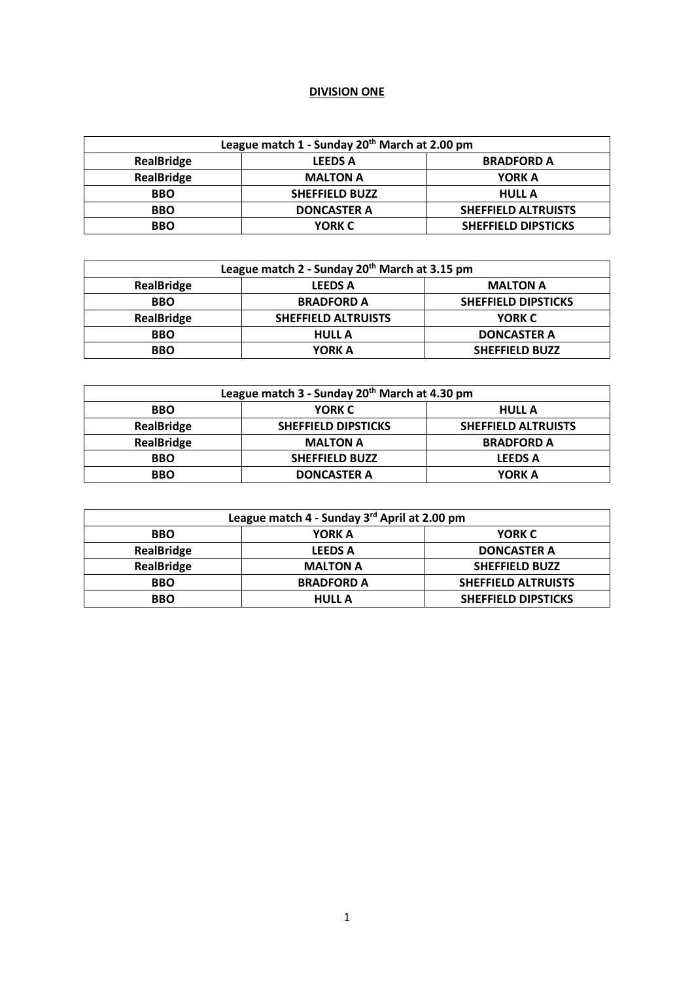## **DIVISION ONE**

| League match 1 - Sunday 20th March at 2.00 pm |                       |                            |
|-----------------------------------------------|-----------------------|----------------------------|
| <b>RealBridge</b>                             | <b>LEEDS A</b>        | <b>BRADFORD A</b>          |
| <b>RealBridge</b>                             | <b>MALTON A</b>       | YORK A                     |
| <b>BBO</b>                                    | <b>SHEFFIELD BUZZ</b> | <b>HULL A</b>              |
| <b>BBO</b>                                    | <b>DONCASTER A</b>    | <b>SHEFFIELD ALTRUISTS</b> |
| <b>BBO</b>                                    | <b>YORK C</b>         | <b>SHEFFIELD DIPSTICKS</b> |

| League match 2 - Sunday 20 <sup>th</sup> March at 3.15 pm |                            |                            |
|-----------------------------------------------------------|----------------------------|----------------------------|
| <b>RealBridge</b>                                         | <b>LEEDS A</b>             | <b>MALTON A</b>            |
| <b>BBO</b>                                                | <b>BRADFORD A</b>          | <b>SHEFFIELD DIPSTICKS</b> |
| <b>RealBridge</b>                                         | <b>SHEFFIELD ALTRUISTS</b> | YORK C                     |
| <b>BBO</b>                                                | <b>HULL A</b>              | <b>DONCASTER A</b>         |
| <b>BBO</b>                                                | YORK A                     | <b>SHEFFIELD BUZZ</b>      |

| League match 3 - Sunday 20 <sup>th</sup> March at 4.30 pm |                            |                            |
|-----------------------------------------------------------|----------------------------|----------------------------|
| <b>BBO</b>                                                | YORK C                     | <b>HULL A</b>              |
| <b>RealBridge</b>                                         | <b>SHEFFIELD DIPSTICKS</b> | <b>SHEFFIELD ALTRUISTS</b> |
| <b>RealBridge</b>                                         | <b>MALTON A</b>            | <b>BRADFORD A</b>          |
| <b>BBO</b>                                                | <b>SHEFFIELD BUZZ</b>      | <b>LEEDS A</b>             |
| <b>BBO</b>                                                | <b>DONCASTER A</b>         | YORK A                     |

| League match 4 - Sunday 3rd April at 2.00 pm |                   |                            |
|----------------------------------------------|-------------------|----------------------------|
| <b>BBO</b>                                   | YORK A            | <b>YORK C</b>              |
| <b>RealBridge</b>                            | <b>LEEDS A</b>    | <b>DONCASTER A</b>         |
| <b>RealBridge</b>                            | <b>MALTON A</b>   | <b>SHEFFIELD BUZZ</b>      |
| <b>BBO</b>                                   | <b>BRADFORD A</b> | <b>SHEFFIELD ALTRUISTS</b> |
| <b>BBO</b>                                   | <b>HULL A</b>     | <b>SHEFFIELD DIPSTICKS</b> |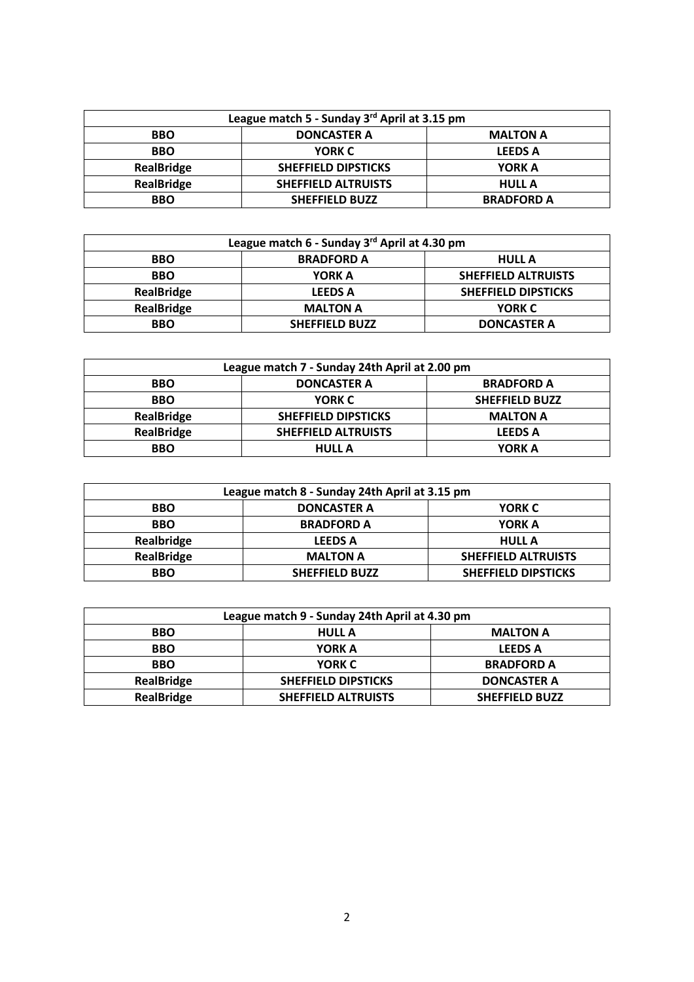| League match 5 - Sunday 3rd April at 3.15 pm |                            |                   |
|----------------------------------------------|----------------------------|-------------------|
| <b>BBO</b>                                   | <b>DONCASTER A</b>         | <b>MALTON A</b>   |
| <b>BBO</b>                                   | YORK C                     | <b>LEEDS A</b>    |
| <b>RealBridge</b>                            | <b>SHEFFIELD DIPSTICKS</b> | <b>YORK A</b>     |
| <b>RealBridge</b>                            | <b>SHEFFIELD ALTRUISTS</b> | <b>HULL A</b>     |
| <b>BBO</b>                                   | <b>SHEFFIELD BUZZ</b>      | <b>BRADFORD A</b> |

| League match 6 - Sunday 3rd April at 4.30 pm |                       |                            |
|----------------------------------------------|-----------------------|----------------------------|
| <b>BBO</b>                                   | <b>BRADFORD A</b>     | <b>HULL A</b>              |
| <b>BBO</b>                                   | <b>YORK A</b>         | <b>SHEFFIELD ALTRUISTS</b> |
| <b>RealBridge</b>                            | <b>LEEDS A</b>        | <b>SHEFFIELD DIPSTICKS</b> |
| <b>RealBridge</b>                            | <b>MALTON A</b>       | YORK C                     |
| <b>BBO</b>                                   | <b>SHEFFIELD BUZZ</b> | <b>DONCASTER A</b>         |

| League match 7 - Sunday 24th April at 2.00 pm |                            |                       |
|-----------------------------------------------|----------------------------|-----------------------|
| <b>BBO</b>                                    | <b>DONCASTER A</b>         | <b>BRADFORD A</b>     |
| <b>BBO</b>                                    | <b>YORK C</b>              | <b>SHEFFIELD BUZZ</b> |
| <b>RealBridge</b>                             | <b>SHEFFIELD DIPSTICKS</b> | <b>MALTON A</b>       |
| <b>RealBridge</b>                             | <b>SHEFFIELD ALTRUISTS</b> | <b>LEEDS A</b>        |
| <b>BBO</b>                                    | <b>HULL A</b>              | <b>YORK A</b>         |

| League match 8 - Sunday 24th April at 3.15 pm |                       |                            |
|-----------------------------------------------|-----------------------|----------------------------|
| <b>BBO</b>                                    | <b>DONCASTER A</b>    | <b>YORK C</b>              |
| <b>BBO</b>                                    | <b>BRADFORD A</b>     | <b>YORK A</b>              |
| Realbridge                                    | <b>LEEDS A</b>        | <b>HULL A</b>              |
| <b>RealBridge</b>                             | <b>MALTON A</b>       | <b>SHEFFIELD ALTRUISTS</b> |
| <b>BBO</b>                                    | <b>SHEFFIELD BUZZ</b> | <b>SHEFFIELD DIPSTICKS</b> |

| League match 9 - Sunday 24th April at 4.30 pm |                            |                       |
|-----------------------------------------------|----------------------------|-----------------------|
| <b>BBO</b>                                    | <b>HULL A</b>              | <b>MALTON A</b>       |
| <b>BBO</b>                                    | YORK A                     | <b>LEEDS A</b>        |
| <b>BBO</b>                                    | <b>YORK C</b>              | <b>BRADFORD A</b>     |
| <b>RealBridge</b>                             | <b>SHEFFIELD DIPSTICKS</b> | <b>DONCASTER A</b>    |
| <b>RealBridge</b>                             | <b>SHEFFIELD ALTRUISTS</b> | <b>SHEFFIELD BUZZ</b> |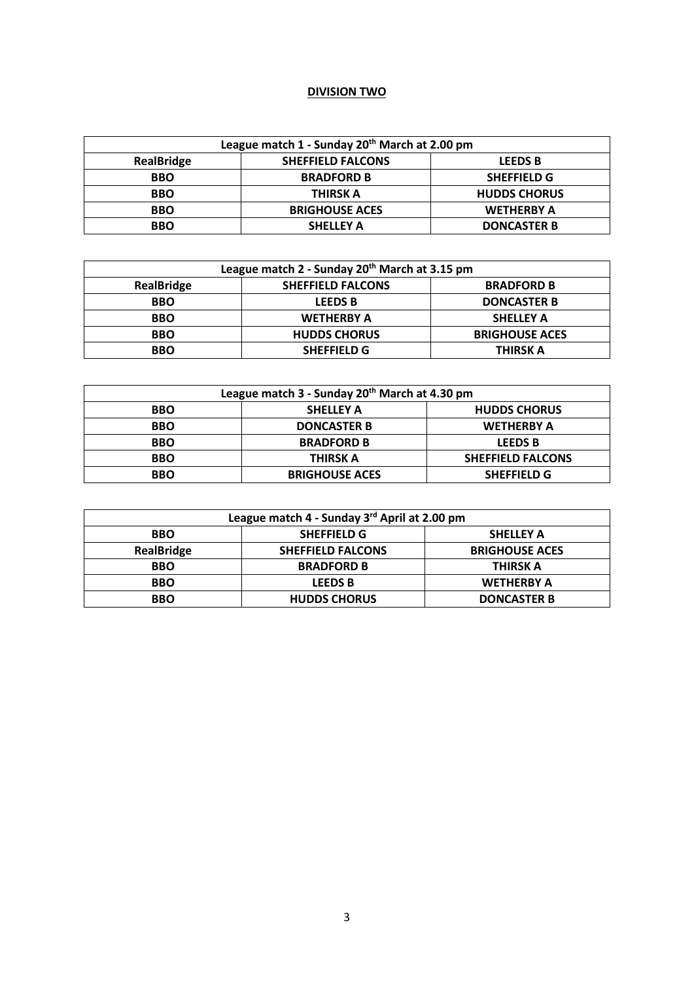## **DIVISION TWO**

| League match 1 - Sunday 20 <sup>th</sup> March at 2.00 pm |                          |                     |
|-----------------------------------------------------------|--------------------------|---------------------|
| <b>RealBridge</b>                                         | <b>SHEFFIELD FALCONS</b> | <b>LEEDS B</b>      |
| <b>BBO</b>                                                | <b>BRADFORD B</b>        | <b>SHEFFIELD G</b>  |
| <b>BBO</b>                                                | THIRSK A                 | <b>HUDDS CHORUS</b> |
| <b>BBO</b>                                                | <b>BRIGHOUSE ACES</b>    | <b>WETHERBY A</b>   |
| <b>BBO</b>                                                | <b>SHELLEY A</b>         | <b>DONCASTER B</b>  |

| League match 2 - Sunday 20 <sup>th</sup> March at 3.15 pm |                          |                       |
|-----------------------------------------------------------|--------------------------|-----------------------|
| <b>RealBridge</b>                                         | <b>SHEFFIELD FALCONS</b> | <b>BRADFORD B</b>     |
| <b>BBO</b>                                                | <b>LEEDS B</b>           | <b>DONCASTER B</b>    |
| <b>BBO</b>                                                | <b>WETHERBY A</b>        | <b>SHELLEY A</b>      |
| <b>BBO</b>                                                | <b>HUDDS CHORUS</b>      | <b>BRIGHOUSE ACES</b> |
| <b>BBO</b>                                                | <b>SHEFFIELD G</b>       | THIRSK A              |

| League match 3 - Sunday 20 <sup>th</sup> March at 4.30 pm |                       |                          |
|-----------------------------------------------------------|-----------------------|--------------------------|
| <b>BBO</b>                                                | <b>SHELLEY A</b>      | <b>HUDDS CHORUS</b>      |
| <b>BBO</b>                                                | <b>DONCASTER B</b>    | <b>WETHERBY A</b>        |
| <b>BBO</b>                                                | <b>BRADFORD B</b>     | <b>LEEDS B</b>           |
| <b>BBO</b>                                                | <b>THIRSK A</b>       | <b>SHEFFIELD FALCONS</b> |
| <b>BBO</b>                                                | <b>BRIGHOUSE ACES</b> | <b>SHEFFIELD G</b>       |

| League match 4 - Sunday 3rd April at 2.00 pm |                          |                       |
|----------------------------------------------|--------------------------|-----------------------|
| <b>BBO</b>                                   | <b>SHEFFIELD G</b>       | <b>SHELLEY A</b>      |
| <b>RealBridge</b>                            | <b>SHEFFIELD FALCONS</b> | <b>BRIGHOUSE ACES</b> |
| <b>BBO</b>                                   | <b>BRADFORD B</b>        | <b>THIRSK A</b>       |
| <b>BBO</b>                                   | <b>LEEDS B</b>           | <b>WETHERBY A</b>     |
| <b>BBO</b>                                   | <b>HUDDS CHORUS</b>      | <b>DONCASTER B</b>    |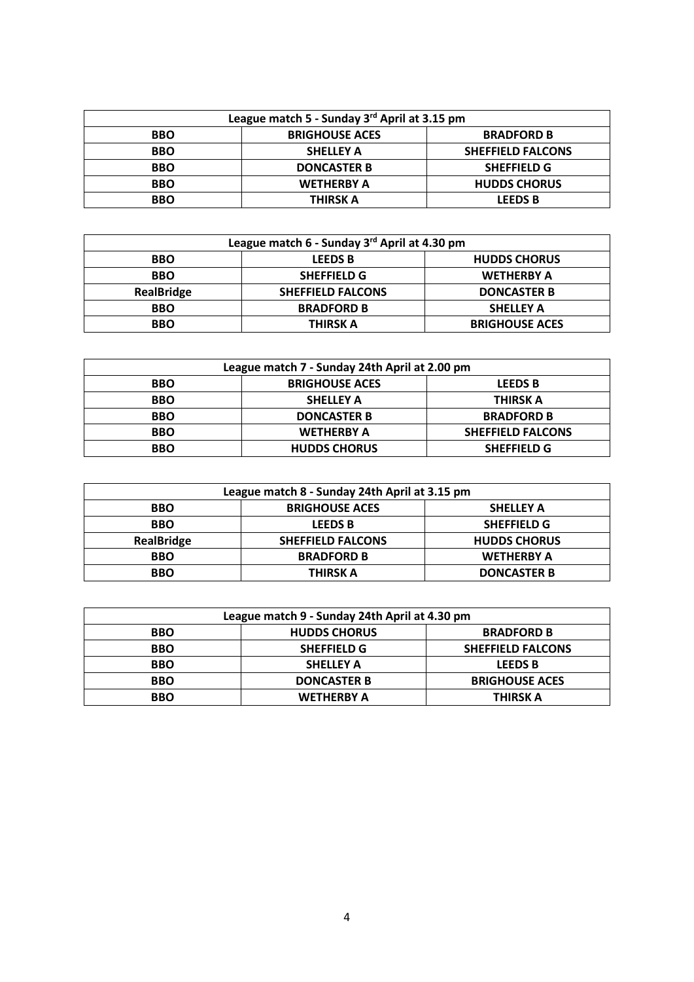| League match 5 - Sunday 3rd April at 3.15 pm |                       |                          |
|----------------------------------------------|-----------------------|--------------------------|
| <b>BBO</b>                                   | <b>BRIGHOUSE ACES</b> | <b>BRADFORD B</b>        |
| <b>BBO</b>                                   | <b>SHELLEY A</b>      | <b>SHEFFIELD FALCONS</b> |
| <b>BBO</b>                                   | <b>DONCASTER B</b>    | <b>SHEFFIELD G</b>       |
| <b>BBO</b>                                   | <b>WETHERBY A</b>     | <b>HUDDS CHORUS</b>      |
| <b>BBO</b>                                   | <b>THIRSK A</b>       | <b>LEEDS B</b>           |

| League match 6 - Sunday 3rd April at 4.30 pm |                          |                       |
|----------------------------------------------|--------------------------|-----------------------|
| <b>BBO</b>                                   | <b>LEEDS B</b>           | <b>HUDDS CHORUS</b>   |
| <b>BBO</b>                                   | <b>SHEFFIELD G</b>       | <b>WETHERBY A</b>     |
| <b>RealBridge</b>                            | <b>SHEFFIELD FALCONS</b> | <b>DONCASTER B</b>    |
| <b>BBO</b>                                   | <b>BRADFORD B</b>        | <b>SHELLEY A</b>      |
| <b>BBO</b>                                   | <b>THIRSK A</b>          | <b>BRIGHOUSE ACES</b> |

| League match 7 - Sunday 24th April at 2.00 pm |                       |                          |
|-----------------------------------------------|-----------------------|--------------------------|
| <b>BBO</b>                                    | <b>BRIGHOUSE ACES</b> | <b>LEEDS B</b>           |
| <b>BBO</b>                                    | <b>SHELLEY A</b>      | THIRSK A                 |
| <b>BBO</b>                                    | <b>DONCASTER B</b>    | <b>BRADFORD B</b>        |
| <b>BBO</b>                                    | <b>WETHERBY A</b>     | <b>SHEFFIELD FALCONS</b> |
| <b>BBO</b>                                    | <b>HUDDS CHORUS</b>   | <b>SHEFFIELD G</b>       |

| League match 8 - Sunday 24th April at 3.15 pm |                          |                     |
|-----------------------------------------------|--------------------------|---------------------|
| <b>BBO</b>                                    | <b>BRIGHOUSE ACES</b>    | <b>SHELLEY A</b>    |
| <b>BBO</b>                                    | <b>LEEDS B</b>           | <b>SHEFFIELD G</b>  |
| <b>RealBridge</b>                             | <b>SHEFFIELD FALCONS</b> | <b>HUDDS CHORUS</b> |
| <b>BBO</b>                                    | <b>BRADFORD B</b>        | <b>WETHERBY A</b>   |
| <b>BBO</b>                                    | THIRSK A                 | <b>DONCASTER B</b>  |

| League match 9 - Sunday 24th April at 4.30 pm |                     |                          |
|-----------------------------------------------|---------------------|--------------------------|
| <b>BBO</b>                                    | <b>HUDDS CHORUS</b> | <b>BRADFORD B</b>        |
| <b>BBO</b>                                    | <b>SHEFFIELD G</b>  | <b>SHEFFIELD FALCONS</b> |
| <b>BBO</b>                                    | <b>SHELLEY A</b>    | <b>LEEDS B</b>           |
| <b>BBO</b>                                    | <b>DONCASTER B</b>  | <b>BRIGHOUSE ACES</b>    |
| <b>BBO</b>                                    | <b>WETHERBY A</b>   | THIRSK A                 |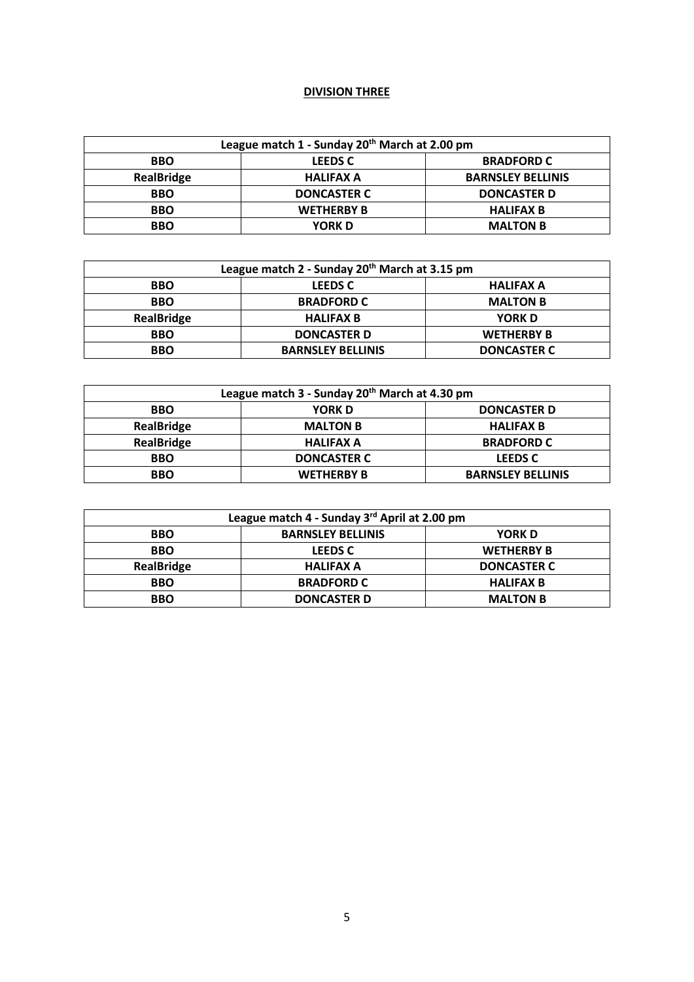## **DIVISION THREE**

| League match 1 - Sunday 20 <sup>th</sup> March at 2.00 pm |                    |                          |
|-----------------------------------------------------------|--------------------|--------------------------|
| <b>BBO</b>                                                | <b>LEEDS C</b>     | <b>BRADFORD C</b>        |
| RealBridge                                                | <b>HALIFAX A</b>   | <b>BARNSLEY BELLINIS</b> |
| <b>BBO</b>                                                | <b>DONCASTER C</b> | <b>DONCASTER D</b>       |
| <b>BBO</b>                                                | <b>WETHERBY B</b>  | <b>HALIFAX B</b>         |
| <b>BBO</b>                                                | <b>YORK D</b>      | <b>MALTON B</b>          |

| League match 2 - Sunday 20 <sup>th</sup> March at 3.15 pm |                          |                    |
|-----------------------------------------------------------|--------------------------|--------------------|
| <b>BBO</b>                                                | <b>LEEDS C</b>           | <b>HALIFAX A</b>   |
| <b>BBO</b>                                                | <b>BRADFORD C</b>        | <b>MALTON B</b>    |
| <b>RealBridge</b>                                         | <b>HALIFAX B</b>         | <b>YORK D</b>      |
| <b>BBO</b>                                                | <b>DONCASTER D</b>       | <b>WETHERBY B</b>  |
| <b>BBO</b>                                                | <b>BARNSLEY BELLINIS</b> | <b>DONCASTER C</b> |

| League match 3 - Sunday 20 <sup>th</sup> March at 4.30 pm |                    |                          |
|-----------------------------------------------------------|--------------------|--------------------------|
| <b>BBO</b>                                                | <b>YORK D</b>      | <b>DONCASTER D</b>       |
| <b>RealBridge</b>                                         | <b>MALTON B</b>    | <b>HALIFAX B</b>         |
| <b>RealBridge</b>                                         | <b>HALIFAX A</b>   | <b>BRADFORD C</b>        |
| <b>BBO</b>                                                | <b>DONCASTER C</b> | <b>LEEDS C</b>           |
| <b>BBO</b>                                                | <b>WETHERBY B</b>  | <b>BARNSLEY BELLINIS</b> |

| League match 4 - Sunday 3rd April at 2.00 pm |                          |                    |
|----------------------------------------------|--------------------------|--------------------|
| <b>BBO</b>                                   | <b>BARNSLEY BELLINIS</b> | <b>YORK D</b>      |
| <b>BBO</b>                                   | <b>LEEDS C</b>           | <b>WETHERBY B</b>  |
| <b>RealBridge</b>                            | <b>HALIFAX A</b>         | <b>DONCASTER C</b> |
| <b>BBO</b>                                   | <b>BRADFORD C</b>        | <b>HALIFAX B</b>   |
| <b>BBO</b>                                   | <b>DONCASTER D</b>       | <b>MALTON B</b>    |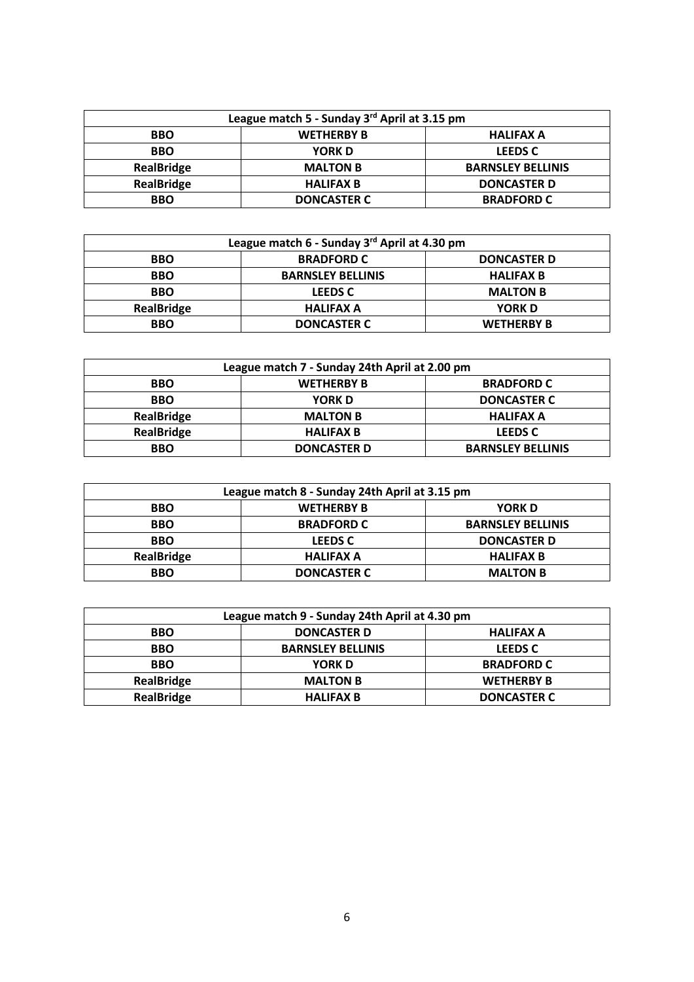| League match 5 - Sunday 3rd April at 3.15 pm |                    |                          |
|----------------------------------------------|--------------------|--------------------------|
| <b>BBO</b>                                   | <b>WETHERBY B</b>  | <b>HALIFAX A</b>         |
| <b>BBO</b>                                   | <b>YORK D</b>      | <b>LEEDS C</b>           |
| <b>RealBridge</b>                            | <b>MALTON B</b>    | <b>BARNSLEY BELLINIS</b> |
| <b>RealBridge</b>                            | <b>HALIFAX B</b>   | <b>DONCASTER D</b>       |
| <b>BBO</b>                                   | <b>DONCASTER C</b> | <b>BRADFORD C</b>        |

| League match 6 - Sunday 3rd April at 4.30 pm |                          |                    |
|----------------------------------------------|--------------------------|--------------------|
| <b>BBO</b>                                   | <b>BRADFORD C</b>        | <b>DONCASTER D</b> |
| <b>BBO</b>                                   | <b>BARNSLEY BELLINIS</b> | <b>HALIFAX B</b>   |
| <b>BBO</b>                                   | <b>LEEDS C</b>           | <b>MALTON B</b>    |
| <b>RealBridge</b>                            | <b>HALIFAX A</b>         | <b>YORK D</b>      |
| <b>BBO</b>                                   | <b>DONCASTER C</b>       | <b>WETHERBY B</b>  |

| League match 7 - Sunday 24th April at 2.00 pm |                    |                          |
|-----------------------------------------------|--------------------|--------------------------|
| <b>BBO</b>                                    | <b>WETHERBY B</b>  | <b>BRADFORD C</b>        |
| <b>BBO</b>                                    | <b>YORK D</b>      | <b>DONCASTER C</b>       |
| <b>RealBridge</b>                             | <b>MALTON B</b>    | <b>HALIFAX A</b>         |
| <b>RealBridge</b>                             | <b>HALIFAX B</b>   | <b>LEEDS C</b>           |
| <b>BBO</b>                                    | <b>DONCASTER D</b> | <b>BARNSLEY BELLINIS</b> |

| League match 8 - Sunday 24th April at 3.15 pm |                    |                          |
|-----------------------------------------------|--------------------|--------------------------|
| <b>BBO</b>                                    | <b>WETHERBY B</b>  | <b>YORK D</b>            |
| <b>BBO</b>                                    | <b>BRADFORD C</b>  | <b>BARNSLEY BELLINIS</b> |
| <b>BBO</b>                                    | <b>LEEDS C</b>     | <b>DONCASTER D</b>       |
| <b>RealBridge</b>                             | <b>HALIFAX A</b>   | <b>HALIFAX B</b>         |
| <b>BBO</b>                                    | <b>DONCASTER C</b> | <b>MALTON B</b>          |

| League match 9 - Sunday 24th April at 4.30 pm |                          |                    |
|-----------------------------------------------|--------------------------|--------------------|
| <b>BBO</b>                                    | <b>DONCASTER D</b>       | <b>HALIFAX A</b>   |
| <b>BBO</b>                                    | <b>BARNSLEY BELLINIS</b> | <b>LEEDS C</b>     |
| <b>BBO</b>                                    | <b>YORK D</b>            | <b>BRADFORD C</b>  |
| RealBridge                                    | <b>MALTON B</b>          | <b>WETHERBY B</b>  |
| <b>RealBridge</b>                             | <b>HALIFAX B</b>         | <b>DONCASTER C</b> |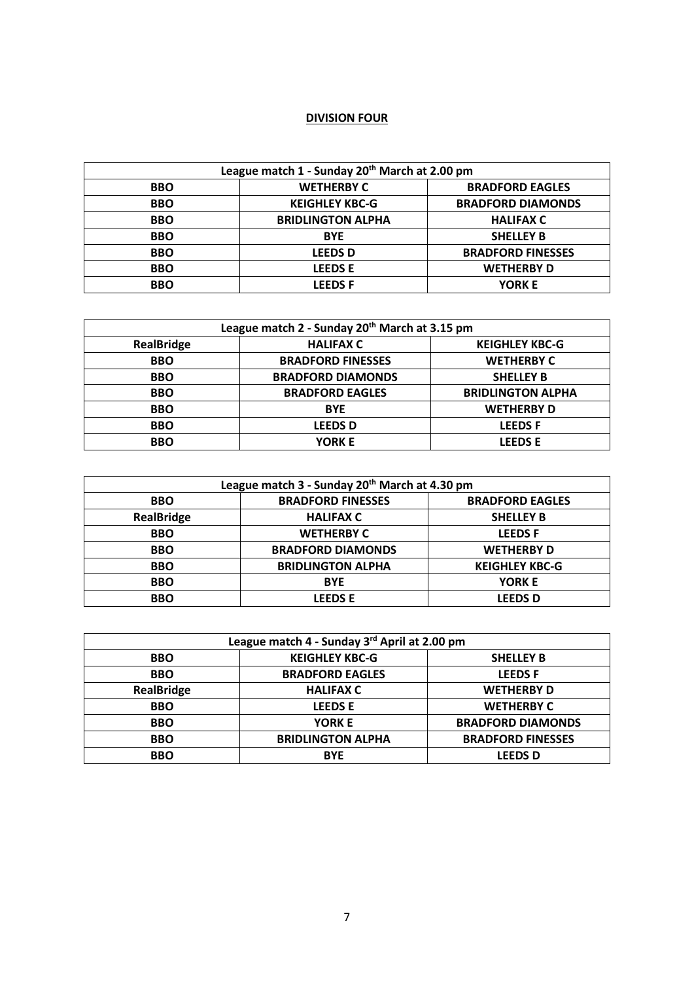## **DIVISION FOUR**

| League match 1 - Sunday 20th March at 2.00 pm |                          |                          |
|-----------------------------------------------|--------------------------|--------------------------|
| <b>BBO</b>                                    | <b>WETHERBY C</b>        | <b>BRADFORD EAGLES</b>   |
| <b>BBO</b>                                    | <b>KEIGHLEY KBC-G</b>    | <b>BRADFORD DIAMONDS</b> |
| <b>BBO</b>                                    | <b>BRIDLINGTON ALPHA</b> | <b>HALIFAX C</b>         |
| <b>BBO</b>                                    | <b>BYE</b>               | <b>SHELLEY B</b>         |
| <b>BBO</b>                                    | <b>LEEDSD</b>            | <b>BRADFORD FINESSES</b> |
| <b>BBO</b>                                    | <b>LEEDSE</b>            | <b>WETHERBY D</b>        |
| <b>BBO</b>                                    | <b>LEEDSF</b>            | <b>YORK E</b>            |

| League match 2 - Sunday 20 <sup>th</sup> March at 3.15 pm |                          |                          |
|-----------------------------------------------------------|--------------------------|--------------------------|
| <b>RealBridge</b>                                         | <b>HALIFAX C</b>         | <b>KEIGHLEY KBC-G</b>    |
| <b>BBO</b>                                                | <b>BRADFORD FINESSES</b> | <b>WETHERBY C</b>        |
| <b>BBO</b>                                                | <b>BRADFORD DIAMONDS</b> | <b>SHELLEY B</b>         |
| <b>BBO</b>                                                | <b>BRADFORD EAGLES</b>   | <b>BRIDLINGTON ALPHA</b> |
| <b>BBO</b>                                                | <b>BYE</b>               | <b>WETHERBY D</b>        |
| <b>BBO</b>                                                | <b>LEEDS D</b>           | <b>LEEDSF</b>            |
| <b>BBO</b>                                                | <b>YORK E</b>            | <b>LEEDSE</b>            |

| League match 3 - Sunday 20 <sup>th</sup> March at 4.30 pm |                          |                        |
|-----------------------------------------------------------|--------------------------|------------------------|
| <b>BBO</b>                                                | <b>BRADFORD FINESSES</b> | <b>BRADFORD EAGLES</b> |
| <b>RealBridge</b>                                         | <b>HALIFAX C</b>         | <b>SHELLEY B</b>       |
| <b>BBO</b>                                                | <b>WETHERBY C</b>        | <b>LEEDSF</b>          |
| <b>BBO</b>                                                | <b>BRADFORD DIAMONDS</b> | <b>WETHERBY D</b>      |
| <b>BBO</b>                                                | <b>BRIDLINGTON ALPHA</b> | <b>KEIGHLEY KBC-G</b>  |
| <b>BBO</b>                                                | <b>BYE</b>               | <b>YORK E</b>          |
| <b>BBO</b>                                                | <b>LEEDSE</b>            | <b>LEEDS D</b>         |

| League match 4 - Sunday 3rd April at 2.00 pm |                          |                          |
|----------------------------------------------|--------------------------|--------------------------|
| <b>BBO</b>                                   | <b>KEIGHLEY KBC-G</b>    | <b>SHELLEY B</b>         |
| <b>BBO</b>                                   | <b>BRADFORD EAGLES</b>   | <b>LEEDSF</b>            |
| <b>RealBridge</b>                            | <b>HALIFAX C</b>         | <b>WETHERBY D</b>        |
| <b>BBO</b>                                   | <b>LEEDSE</b>            | <b>WETHERBY C</b>        |
| <b>BBO</b>                                   | <b>YORK E</b>            | <b>BRADFORD DIAMONDS</b> |
| <b>BBO</b>                                   | <b>BRIDLINGTON ALPHA</b> | <b>BRADFORD FINESSES</b> |
| <b>BBO</b>                                   | <b>BYE</b>               | <b>LEEDS D</b>           |